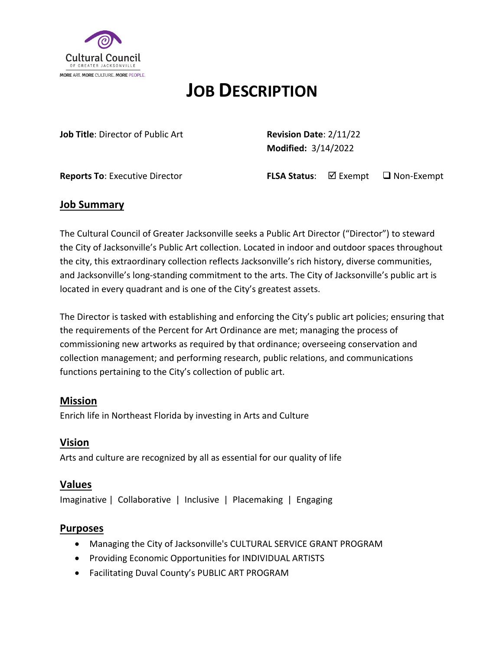

# **JOB DESCRIPTION**

**Job Title**: Director of Public Art **Revision Date**: 2/11/22

**Modified:** 3/14/2022

**Reports To**: Executive Director **FLSA Status**: **Ø Exempt** Q Non-Exempt

### **Job Summary**

The Cultural Council of Greater Jacksonville seeks a Public Art Director ("Director") to steward the City of Jacksonville's Public Art collection. Located in indoor and outdoor spaces throughout the city, this extraordinary collection reflects Jacksonville's rich history, diverse communities, and Jacksonville's long-standing commitment to the arts. The City of Jacksonville's public art is located in every quadrant and is one of the City's greatest assets.

The Director is tasked with establishing and enforcing the City's public art policies; ensuring that the requirements of the Percent for Art Ordinance are met; managing the process of commissioning new artworks as required by that ordinance; overseeing conservation and collection management; and performing research, public relations, and communications functions pertaining to the City's collection of public art.

## **Mission**

Enrich life in Northeast Florida by investing in Arts and Culture

## **Vision**

Arts and culture are recognized by all as essential for our quality of life

## **Values**

Imaginative | Collaborative | Inclusive | Placemaking | Engaging

## **Purposes**

- Managing the City of Jacksonville's CULTURAL SERVICE GRANT PROGRAM
- Providing Economic Opportunities for INDIVIDUAL ARTISTS
- Facilitating Duval County's PUBLIC ART PROGRAM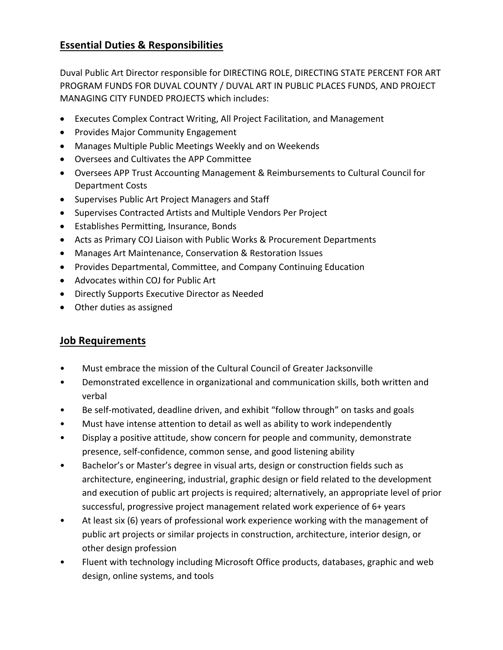## **Essential Duties & Responsibilities**

Duval Public Art Director responsible for DIRECTING ROLE, DIRECTING STATE PERCENT FOR ART PROGRAM FUNDS FOR DUVAL COUNTY / DUVAL ART IN PUBLIC PLACES FUNDS, AND PROJECT MANAGING CITY FUNDED PROJECTS which includes:

- Executes Complex Contract Writing, All Project Facilitation, and Management
- Provides Major Community Engagement
- Manages Multiple Public Meetings Weekly and on Weekends
- Oversees and Cultivates the APP Committee
- Oversees APP Trust Accounting Management & Reimbursements to Cultural Council for Department Costs
- Supervises Public Art Project Managers and Staff
- Supervises Contracted Artists and Multiple Vendors Per Project
- Establishes Permitting, Insurance, Bonds
- Acts as Primary COJ Liaison with Public Works & Procurement Departments
- Manages Art Maintenance, Conservation & Restoration Issues
- Provides Departmental, Committee, and Company Continuing Education
- Advocates within COJ for Public Art
- Directly Supports Executive Director as Needed
- Other duties as assigned

## **Job Requirements**

- Must embrace the mission of the Cultural Council of Greater Jacksonville
- Demonstrated excellence in organizational and communication skills, both written and verbal
- Be self-motivated, deadline driven, and exhibit "follow through" on tasks and goals
- Must have intense attention to detail as well as ability to work independently
- Display a positive attitude, show concern for people and community, demonstrate presence, self-confidence, common sense, and good listening ability
- Bachelor's or Master's degree in visual arts, design or construction fields such as architecture, engineering, industrial, graphic design or field related to the development and execution of public art projects is required; alternatively, an appropriate level of prior successful, progressive project management related work experience of 6+ years
- At least six (6) years of professional work experience working with the management of public art projects or similar projects in construction, architecture, interior design, or other design profession
- Fluent with technology including Microsoft Office products, databases, graphic and web design, online systems, and tools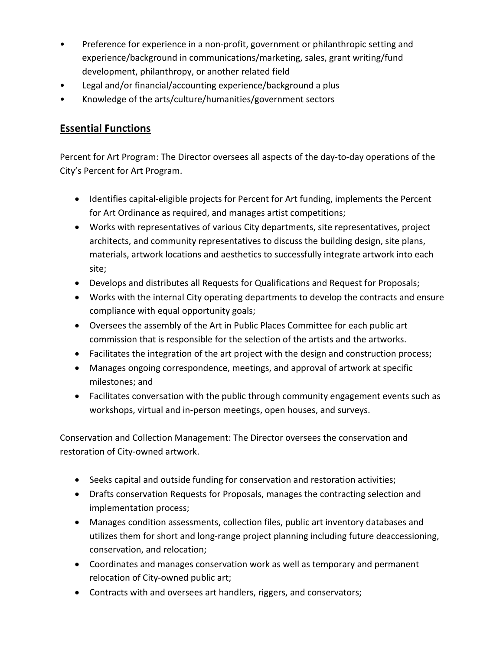- Preference for experience in a non-profit, government or philanthropic setting and experience/background in communications/marketing, sales, grant writing/fund development, philanthropy, or another related field
- Legal and/or financial/accounting experience/background a plus
- Knowledge of the arts/culture/humanities/government sectors

## **Essential Functions**

Percent for Art Program: The Director oversees all aspects of the day-to-day operations of the City's Percent for Art Program.

- Identifies capital-eligible projects for Percent for Art funding, implements the Percent for Art Ordinance as required, and manages artist competitions;
- Works with representatives of various City departments, site representatives, project architects, and community representatives to discuss the building design, site plans, materials, artwork locations and aesthetics to successfully integrate artwork into each site;
- Develops and distributes all Requests for Qualifications and Request for Proposals;
- Works with the internal City operating departments to develop the contracts and ensure compliance with equal opportunity goals;
- Oversees the assembly of the Art in Public Places Committee for each public art commission that is responsible for the selection of the artists and the artworks.
- Facilitates the integration of the art project with the design and construction process;
- Manages ongoing correspondence, meetings, and approval of artwork at specific milestones; and
- Facilitates conversation with the public through community engagement events such as workshops, virtual and in-person meetings, open houses, and surveys.

Conservation and Collection Management: The Director oversees the conservation and restoration of City-owned artwork.

- Seeks capital and outside funding for conservation and restoration activities;
- Drafts conservation Requests for Proposals, manages the contracting selection and implementation process;
- Manages condition assessments, collection files, public art inventory databases and utilizes them for short and long-range project planning including future deaccessioning, conservation, and relocation;
- Coordinates and manages conservation work as well as temporary and permanent relocation of City-owned public art;
- Contracts with and oversees art handlers, riggers, and conservators;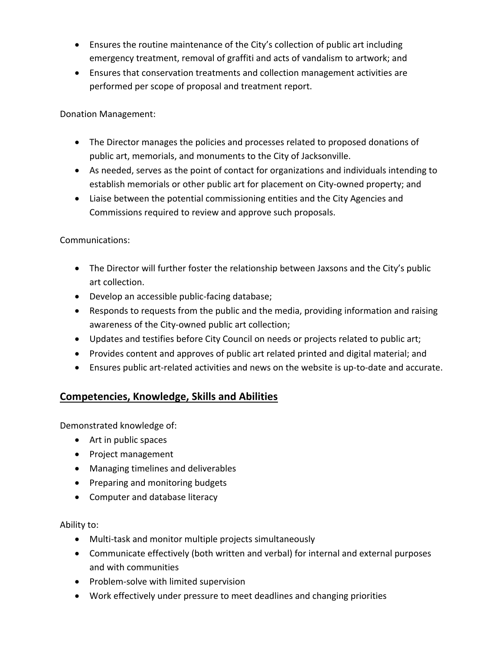- Ensures the routine maintenance of the City's collection of public art including emergency treatment, removal of graffiti and acts of vandalism to artwork; and
- Ensures that conservation treatments and collection management activities are performed per scope of proposal and treatment report.

Donation Management:

- The Director manages the policies and processes related to proposed donations of public art, memorials, and monuments to the City of Jacksonville.
- As needed, serves as the point of contact for organizations and individuals intending to establish memorials or other public art for placement on City-owned property; and
- Liaise between the potential commissioning entities and the City Agencies and Commissions required to review and approve such proposals.

#### Communications:

- The Director will further foster the relationship between Jaxsons and the City's public art collection.
- Develop an accessible public-facing database;
- Responds to requests from the public and the media, providing information and raising awareness of the City-owned public art collection;
- Updates and testifies before City Council on needs or projects related to public art;
- Provides content and approves of public art related printed and digital material; and
- Ensures public art-related activities and news on the website is up-to-date and accurate.

## **Competencies, Knowledge, Skills and Abilities**

Demonstrated knowledge of:

- Art in public spaces
- Project management
- Managing timelines and deliverables
- Preparing and monitoring budgets
- Computer and database literacy

#### Ability to:

- Multi-task and monitor multiple projects simultaneously
- Communicate effectively (both written and verbal) for internal and external purposes and with communities
- Problem-solve with limited supervision
- Work effectively under pressure to meet deadlines and changing priorities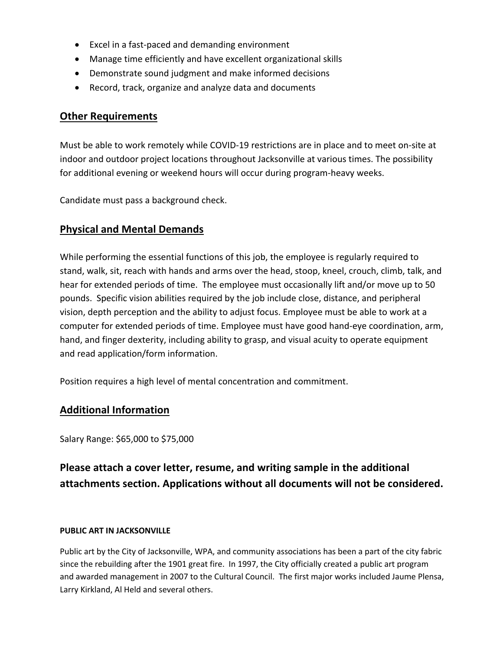- Excel in a fast-paced and demanding environment
- Manage time efficiently and have excellent organizational skills
- Demonstrate sound judgment and make informed decisions
- Record, track, organize and analyze data and documents

## **Other Requirements**

Must be able to work remotely while COVID-19 restrictions are in place and to meet on-site at indoor and outdoor project locations throughout Jacksonville at various times. The possibility for additional evening or weekend hours will occur during program-heavy weeks.

Candidate must pass a background check.

## **Physical and Mental Demands**

While performing the essential functions of this job, the employee is regularly required to stand, walk, sit, reach with hands and arms over the head, stoop, kneel, crouch, climb, talk, and hear for extended periods of time. The employee must occasionally lift and/or move up to 50 pounds. Specific vision abilities required by the job include close, distance, and peripheral vision, depth perception and the ability to adjust focus. Employee must be able to work at a computer for extended periods of time. Employee must have good hand-eye coordination, arm, hand, and finger dexterity, including ability to grasp, and visual acuity to operate equipment and read application/form information.

Position requires a high level of mental concentration and commitment.

## **Additional Information**

Salary Range: \$65,000 to \$75,000

## **Please attach a cover letter, resume, and writing sample in the additional attachments section. Applications without all documents will not be considered.**

#### **PUBLIC ART IN JACKSONVILLE**

Public art by the City of Jacksonville, WPA, and community associations has been a part of the city fabric since the rebuilding after the 1901 great fire. In 1997, the City officially created a public art program and awarded management in 2007 to the Cultural Council. The first major works included Jaume Plensa, Larry Kirkland, Al Held and several others.